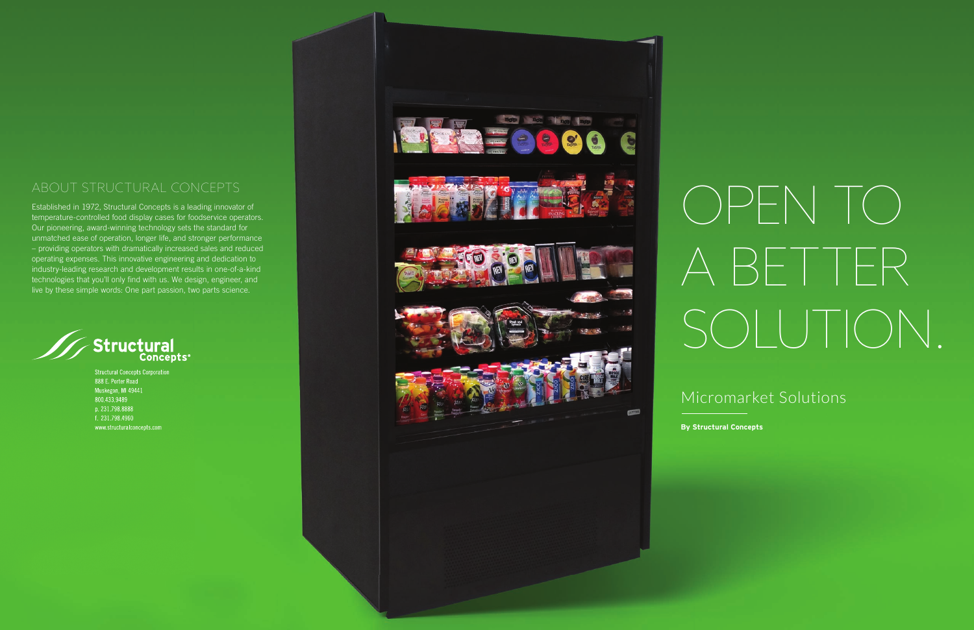Established in 1972, Structural Concepts is a leading innovator of temperature-controlled food display cases for foodservice operators. Our pioneering, award-winning technology sets the standard for unmatched ease of operation, longer life, and stronger performance – providing operators with dramatically increased sales and reduced operating expenses. This innovative engineering and dedication to industry-leading research and development results in one-of-a-kind technologies that you'll only find with us. We design, engineer, and live by these simple words: One part passion, two parts science.



**Structural Concepts Corporation** 888 E. Porter Road Muskegon, MI 49441<br>800.433.9489 p. 231.798.8888 f. 231.798.4960 www.structuralconcepts.com



# OPEN TO A BETTER SOLUTION.

By Structural Concepts

## Micromarket Solutions